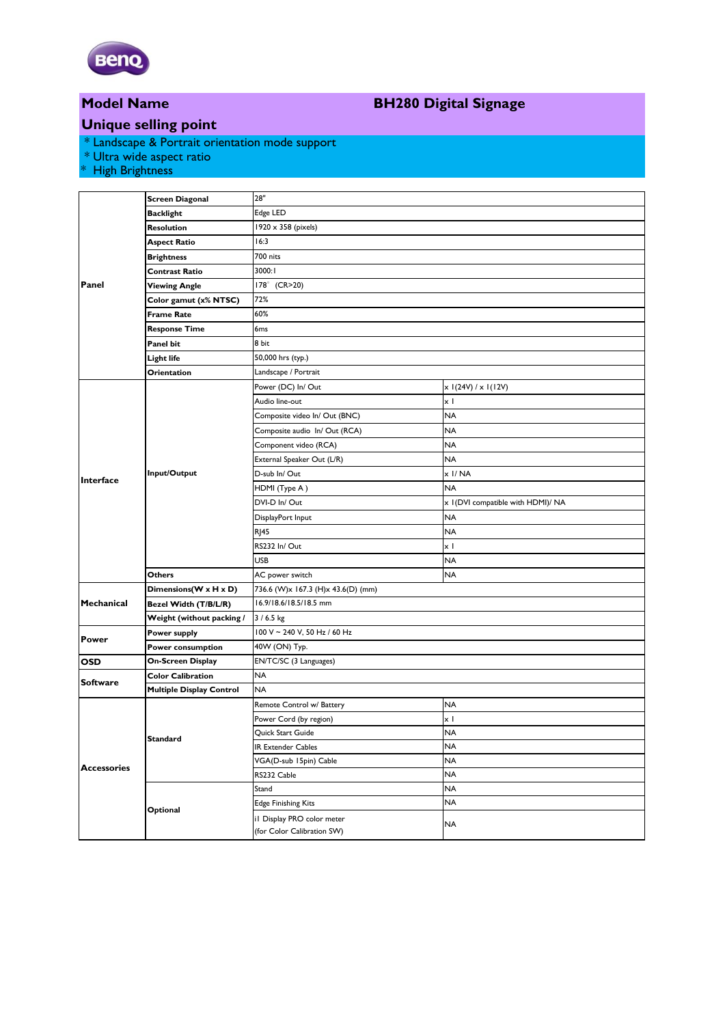

# **Model Name**

## **BH280 Digital Signage**

### **Unique selling point**

\* Landscape & Portrait orientation mode support

\* Ultra wide aspect ratio

\* High Brightness

| Panel              | <b>Screen Diagonal</b>          | 28"                                |                                    |
|--------------------|---------------------------------|------------------------------------|------------------------------------|
|                    | <b>Backlight</b>                | Edge LED                           |                                    |
|                    | Resolution                      | 1920 x 358 (pixels)                |                                    |
|                    | <b>Aspect Ratio</b>             | 16:3                               |                                    |
|                    | <b>Brightness</b>               | 700 nits                           |                                    |
|                    | <b>Contrast Ratio</b>           | 3000:1                             |                                    |
|                    | Viewing Angle                   | 178° (CR>20)                       |                                    |
|                    | Color gamut (x% NTSC)           | 72%                                |                                    |
|                    | <b>Frame Rate</b>               | 60%                                |                                    |
|                    | <b>Response Time</b>            | 6 <sub>ms</sub>                    |                                    |
|                    | Panel bit                       | 8 bit                              |                                    |
|                    | Light life                      | 50,000 hrs (typ.)                  |                                    |
|                    | Orientation                     | Landscape / Portrait               |                                    |
| Interface          | Input/Output                    | Power (DC) In/Out                  | $x$ I(24V) / $x$ I(12V)            |
|                    |                                 | Audio line-out                     | x l                                |
|                    |                                 | Composite video In/ Out (BNC)      | NA                                 |
|                    |                                 | Composite audio In/ Out (RCA)      | NA                                 |
|                    |                                 | Component video (RCA)              | NA                                 |
|                    |                                 | External Speaker Out (L/R)         | <b>NA</b>                          |
|                    |                                 | D-sub In/ Out                      | x I/NA                             |
|                    |                                 | HDMI (Type A)                      | <b>NA</b>                          |
|                    |                                 | DVI-D In/Out                       | x I (DVI compatible with HDMI)/ NA |
|                    |                                 | DisplayPort Input                  | NA                                 |
|                    |                                 | <b>RJ45</b>                        | <b>NA</b>                          |
|                    |                                 | RS232 In/Out                       | x I                                |
|                    |                                 | <b>USB</b>                         | NA                                 |
|                    | <b>Others</b>                   | AC power switch                    | NA                                 |
| Mechanical         | Dimensions(W x H x D)           | 736.6 (W)x 167.3 (H)x 43.6(D) (mm) |                                    |
|                    | Bezel Width (T/B/L/R)           | 16.9/18.6/18.5/18.5 mm             |                                    |
|                    | Weight (without packing /       | $3/6.5$ kg                         |                                    |
| <b>Power</b>       | Power supply                    | 100 V ~ 240 V, 50 Hz / 60 Hz       |                                    |
|                    | Power consumption               | 40W (ON) Typ.                      |                                    |
| OSD                | On-Screen Display               | EN/TC/SC (3 Languages)             |                                    |
| <b>Software</b>    | <b>Color Calibration</b>        | <b>NA</b>                          |                                    |
|                    | <b>Multiple Display Control</b> | <b>NA</b>                          |                                    |
| <b>Accessories</b> | Standard                        | Remote Control w/ Battery          | <b>NA</b>                          |
|                    |                                 | Power Cord (by region)             | xΙ                                 |
|                    |                                 | Quick Start Guide                  | <b>NA</b>                          |
|                    |                                 | IR Extender Cables                 | NA                                 |
|                    |                                 | VGA(D-sub 15pin) Cable             | NA                                 |
|                    |                                 | RS232 Cable                        | NA                                 |
|                    | Optional                        | Stand                              | NA                                 |
|                    |                                 | <b>Edge Finishing Kits</b>         | NA                                 |
|                    |                                 | il Display PRO color meter         | NA                                 |
|                    |                                 | (for Color Calibration SW)         |                                    |